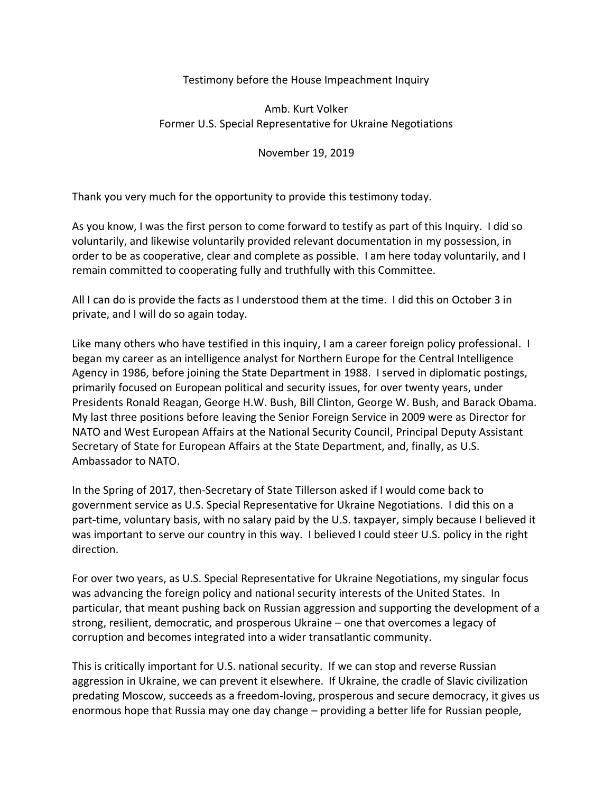## Testimony before the House Impeachment Inquiry

## Amb. Kurt Volker Former U.S. Special Representative for Ukraine Negotiations

## November 19, 2019

Thank you very much for the opportunity to provide this testimony today.

As you know, I was the first person to come forward to testify as part of this Inquiry. I did so voluntarily, and likewise voluntarily provided relevant documentation in my possession, in order to be as cooperative, clear and complete as possible. I am here today voluntarily, and I remain committed to cooperating fully and truthfully with this Committee.

All I can do is provide the facts as I understood them at the time. I did this on October 3 in private, and I will do so again today.

Like many others who have testified in this inquiry, I am a career foreign policy professional. I began my career as an intelligence analyst for Northern Europe for the Central Intelligence Agency in 1986, before joining the State Department in 1988. I served in diplomatic postings, primarily focused on European political and security issues, for over twenty years, under Presidents Ronald Reagan, George H.W. Bush, Bill Clinton, George W. Bush, and Barack Obama. My last three positions before leaving the Senior Foreign Service in 2009 were as Director for NATO and West European Affairs at the National Security Council, Principal Deputy Assistant Secretary of State for European Affairs at the State Department, and, finally, as U.S. Ambassador to NATO.

In the Spring of 2017, then-Secretary of State Tillerson asked if I would come back to government service as U.S. Special Representative for Ukraine Negotiations. I did this on a part-time, voluntary basis, with no salary paid by the U.S. taxpayer, simply because I believed it was important to serve our country in this way. I believed I could steer U.S. policy in the right direction.

For over two years, as U.S. Special Representative for Ukraine Negotiations, my singular focus was advancing the foreign policy and national security interests of the United States. In particular, that meant pushing back on Russian aggression and supporting the development of a strong, resilient, democratic, and prosperous Ukraine – one that overcomes a legacy of corruption and becomes integrated into a wider transatlantic community.

This is critically important for U.S. national security. If we can stop and reverse Russian aggression in Ukraine, we can prevent it elsewhere. If Ukraine, the cradle of Slavic civilization predating Moscow, succeeds as a freedom-loving, prosperous and secure democracy, it gives us enormous hope that Russia may one day change – providing a better life for Russian people,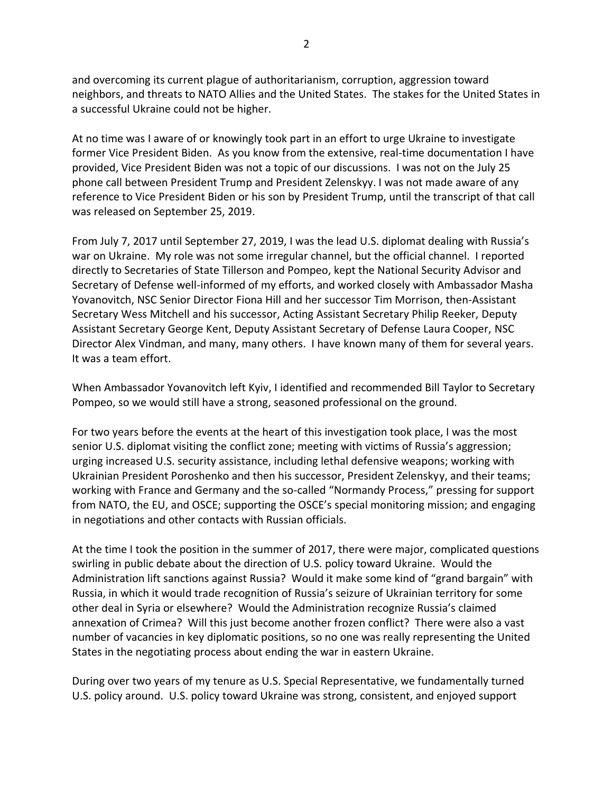and overcoming its current plague of authoritarianism, corruption, aggression toward neighbors, and threats to NATO Allies and the United States. The stakes for the United States in a successful Ukraine could not be higher.

At no time was I aware of or knowingly took part in an effort to urge Ukraine to investigate former Vice President Biden. As you know from the extensive, real-time documentation I have provided, Vice President Biden was not a topic of our discussions. I was not on the July 25 phone call between President Trump and President Zelenskyy. I was not made aware of any reference to Vice President Biden or his son by President Trump, until the transcript of that call was released on September 25, 2019.

From July 7, 2017 until September 27, 2019, I was the lead U.S. diplomat dealing with Russia's war on Ukraine. My role was not some irregular channel, but the official channel. I reported directly to Secretaries of State Tillerson and Pompeo, kept the National Security Advisor and Secretary of Defense well-informed of my efforts, and worked closely with Ambassador Masha Yovanovitch, NSC Senior Director Fiona Hill and her successor Tim Morrison, then-Assistant Secretary Wess Mitchell and his successor, Acting Assistant Secretary Philip Reeker, Deputy Assistant Secretary George Kent, Deputy Assistant Secretary of Defense Laura Cooper, NSC Director Alex Vindman, and many, many others. I have known many of them for several years. It was a team effort.

When Ambassador Yovanovitch left Kyiv, I identified and recommended Bill Taylor to Secretary Pompeo, so we would still have a strong, seasoned professional on the ground.

For two years before the events at the heart of this investigation took place, I was the most senior U.S. diplomat visiting the conflict zone; meeting with victims of Russia's aggression; urging increased U.S. security assistance, including lethal defensive weapons; working with Ukrainian President Poroshenko and then his successor, President Zelenskyy, and their teams; working with France and Germany and the so-called "Normandy Process," pressing for support from NATO, the EU, and OSCE; supporting the OSCE's special monitoring mission; and engaging in negotiations and other contacts with Russian officials.

At the time I took the position in the summer of 2017, there were major, complicated questions swirling in public debate about the direction of U.S. policy toward Ukraine. Would the Administration lift sanctions against Russia? Would it make some kind of "grand bargain" with Russia, in which it would trade recognition of Russia's seizure of Ukrainian territory for some other deal in Syria or elsewhere? Would the Administration recognize Russia's claimed annexation of Crimea? Will this just become another frozen conflict? There were also a vast number of vacancies in key diplomatic positions, so no one was really representing the United States in the negotiating process about ending the war in eastern Ukraine.

During over two years of my tenure as U.S. Special Representative, we fundamentally turned U.S. policy around. U.S. policy toward Ukraine was strong, consistent, and enjoyed support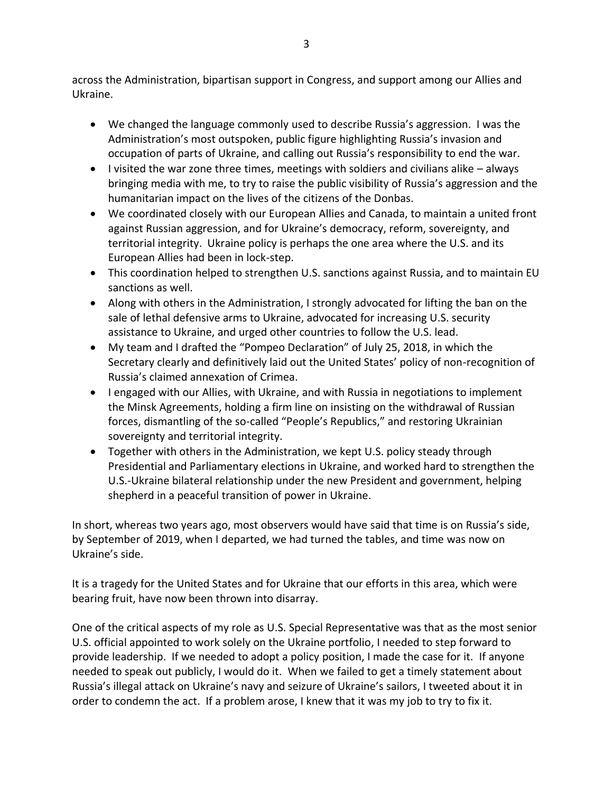across the Administration, bipartisan support in Congress, and support among our Allies and Ukraine.

- We changed the language commonly used to describe Russia's aggression. I was the Administration's most outspoken, public figure highlighting Russia's invasion and occupation of parts of Ukraine, and calling out Russia's responsibility to end the war.
- I visited the war zone three times, meetings with soldiers and civilians alike always bringing media with me, to try to raise the public visibility of Russia's aggression and the humanitarian impact on the lives of the citizens of the Donbas.
- We coordinated closely with our European Allies and Canada, to maintain a united front against Russian aggression, and for Ukraine's democracy, reform, sovereignty, and territorial integrity. Ukraine policy is perhaps the one area where the U.S. and its European Allies had been in lock-step.
- This coordination helped to strengthen U.S. sanctions against Russia, and to maintain EU sanctions as well.
- Along with others in the Administration, I strongly advocated for lifting the ban on the sale of lethal defensive arms to Ukraine, advocated for increasing U.S. security assistance to Ukraine, and urged other countries to follow the U.S. lead.
- My team and I drafted the "Pompeo Declaration" of July 25, 2018, in which the Secretary clearly and definitively laid out the United States' policy of non-recognition of Russia's claimed annexation of Crimea.
- I engaged with our Allies, with Ukraine, and with Russia in negotiations to implement the Minsk Agreements, holding a firm line on insisting on the withdrawal of Russian forces, dismantling of the so-called "People's Republics," and restoring Ukrainian sovereignty and territorial integrity.
- Together with others in the Administration, we kept U.S. policy steady through Presidential and Parliamentary elections in Ukraine, and worked hard to strengthen the U.S.-Ukraine bilateral relationship under the new President and government, helping shepherd in a peaceful transition of power in Ukraine.

In short, whereas two years ago, most observers would have said that time is on Russia's side, by September of 2019, when I departed, we had turned the tables, and time was now on Ukraine's side.

It is a tragedy for the United States and for Ukraine that our efforts in this area, which were bearing fruit, have now been thrown into disarray.

One of the critical aspects of my role as U.S. Special Representative was that as the most senior U.S. official appointed to work solely on the Ukraine portfolio, I needed to step forward to provide leadership. If we needed to adopt a policy position, I made the case for it. If anyone needed to speak out publicly, I would do it. When we failed to get a timely statement about Russia's illegal attack on Ukraine's navy and seizure of Ukraine's sailors, I tweeted about it in order to condemn the act. If a problem arose, I knew that it was my job to try to fix it.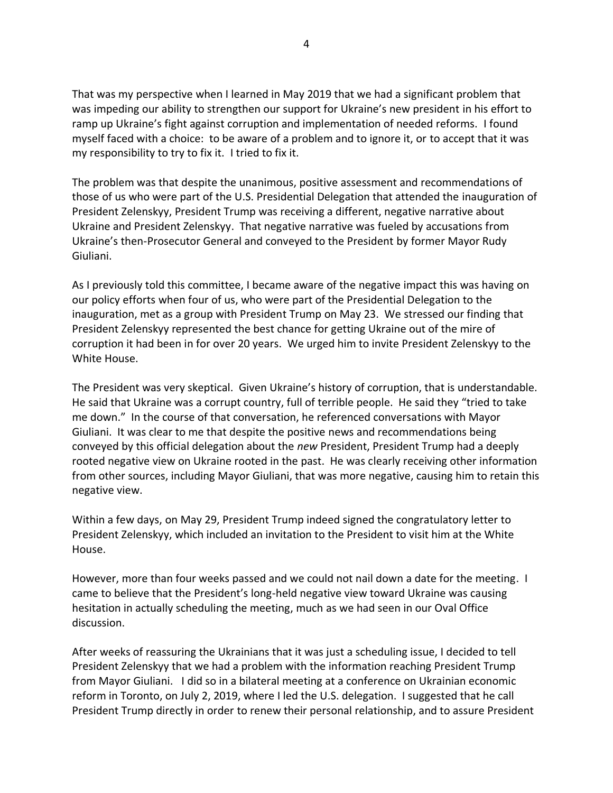That was my perspective when I learned in May 2019 that we had a significant problem that was impeding our ability to strengthen our support for Ukraine's new president in his effort to ramp up Ukraine's fight against corruption and implementation of needed reforms. I found myself faced with a choice: to be aware of a problem and to ignore it, or to accept that it was my responsibility to try to fix it.I tried to fix it.

The problem was that despite the unanimous, positive assessment and recommendations of those of us who were part of the U.S. Presidential Delegation that attended the inauguration of President Zelenskyy, President Trump was receiving a different, negative narrative about Ukraine and President Zelenskyy. That negative narrative was fueled by accusations from Ukraine's then-Prosecutor General and conveyed to the President by former Mayor Rudy Giuliani.

As I previously told this committee, I became aware of the negative impact this was having on our policy efforts when four of us, who were part of the Presidential Delegation to the inauguration, met as a group with President Trump on May 23. We stressed our finding that President Zelenskyy represented the best chance for getting Ukraine out of the mire of corruption it had been in for over 20 years. We urged him to invite President Zelenskyy to the White House.

The President was very skeptical. Given Ukraine's history of corruption, that is understandable. He said that Ukraine was a corrupt country, full of terrible people. He said they "tried to take me down." In the course of that conversation, he referenced conversations with Mayor Giuliani. It was clear to me that despite the positive news and recommendations being conveyed by this official delegation about the *new* President, President Trump had a deeply rooted negative view on Ukraine rooted in the past. He was clearly receiving other information from other sources, including Mayor Giuliani, that was more negative, causing him to retain this negative view.

Within a few days, on May 29, President Trump indeed signed the congratulatory letter to President Zelenskyy, which included an invitation to the President to visit him at the White House.

However, more than four weeks passed and we could not nail down a date for the meeting. I came to believe that the President's long-held negative view toward Ukraine was causing hesitation in actually scheduling the meeting, much as we had seen in our Oval Office discussion.

After weeks of reassuring the Ukrainians that it was just a scheduling issue, I decided to tell President Zelenskyy that we had a problem with the information reaching President Trump from Mayor Giuliani. I did so in a bilateral meeting at a conference on Ukrainian economic reform in Toronto, on July 2, 2019, where I led the U.S. delegation. I suggested that he call President Trump directly in order to renew their personal relationship, and to assure President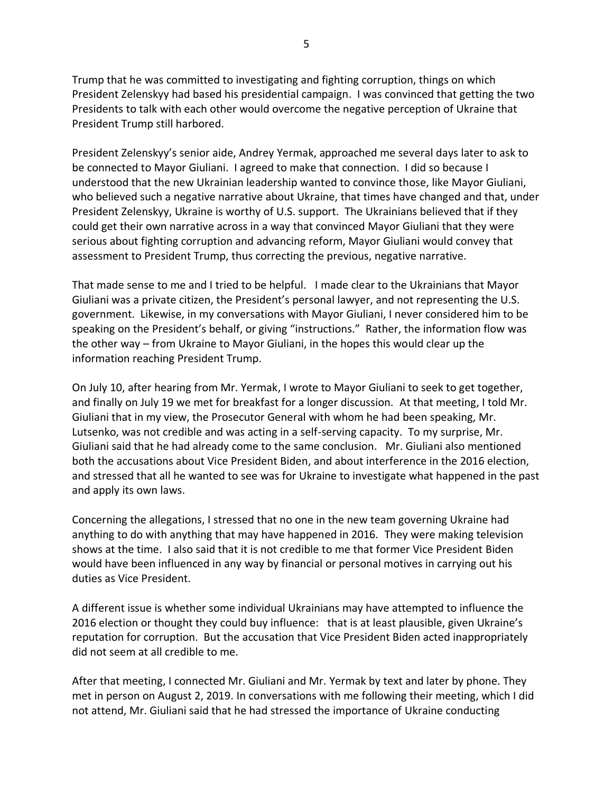Trump that he was committed to investigating and fighting corruption, things on which President Zelenskyy had based his presidential campaign. I was convinced that getting the two Presidents to talk with each other would overcome the negative perception of Ukraine that President Trump still harbored.

President Zelenskyy's senior aide, Andrey Yermak, approached me several days later to ask to be connected to Mayor Giuliani. I agreed to make that connection. I did so because I understood that the new Ukrainian leadership wanted to convince those, like Mayor Giuliani, who believed such a negative narrative about Ukraine, that times have changed and that, under President Zelenskyy, Ukraine is worthy of U.S. support. The Ukrainians believed that if they could get their own narrative across in a way that convinced Mayor Giuliani that they were serious about fighting corruption and advancing reform, Mayor Giuliani would convey that assessment to President Trump, thus correcting the previous, negative narrative.

That made sense to me and I tried to be helpful. I made clear to the Ukrainians that Mayor Giuliani was a private citizen, the President's personal lawyer, and not representing the U.S. government. Likewise, in my conversations with Mayor Giuliani, I never considered him to be speaking on the President's behalf, or giving "instructions." Rather, the information flow was the other way – from Ukraine to Mayor Giuliani, in the hopes this would clear up the information reaching President Trump.

On July 10, after hearing from Mr. Yermak, I wrote to Mayor Giuliani to seek to get together, and finally on July 19 we met for breakfast for a longer discussion. At that meeting, I told Mr. Giuliani that in my view, the Prosecutor General with whom he had been speaking, Mr. Lutsenko, was not credible and was acting in a self-serving capacity. To my surprise, Mr. Giuliani said that he had already come to the same conclusion. Mr. Giuliani also mentioned both the accusations about Vice President Biden, and about interference in the 2016 election, and stressed that all he wanted to see was for Ukraine to investigate what happened in the past and apply its own laws.

Concerning the allegations, I stressed that no one in the new team governing Ukraine had anything to do with anything that may have happened in 2016. They were making television shows at the time. I also said that it is not credible to me that former Vice President Biden would have been influenced in any way by financial or personal motives in carrying out his duties as Vice President.

A different issue is whether some individual Ukrainians may have attempted to influence the 2016 election or thought they could buy influence: that is at least plausible, given Ukraine's reputation for corruption. But the accusation that Vice President Biden acted inappropriately did not seem at all credible to me.

After that meeting, I connected Mr. Giuliani and Mr. Yermak by text and later by phone. They met in person on August 2, 2019. In conversations with me following their meeting, which I did not attend, Mr. Giuliani said that he had stressed the importance of Ukraine conducting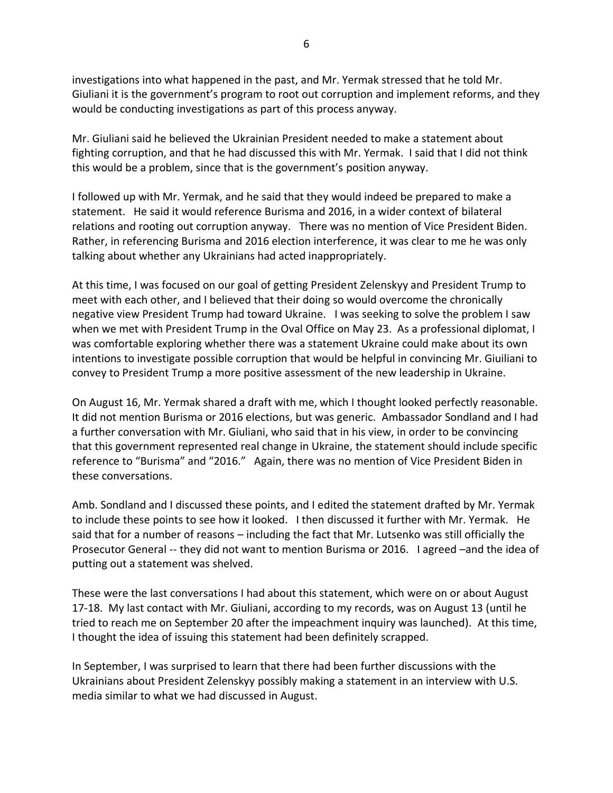investigations into what happened in the past, and Mr. Yermak stressed that he told Mr. Giuliani it is the government's program to root out corruption and implement reforms, and they would be conducting investigations as part of this process anyway.

Mr. Giuliani said he believed the Ukrainian President needed to make a statement about fighting corruption, and that he had discussed this with Mr. Yermak. I said that I did not think this would be a problem, since that is the government's position anyway.

I followed up with Mr. Yermak, and he said that they would indeed be prepared to make a statement. He said it would reference Burisma and 2016, in a wider context of bilateral relations and rooting out corruption anyway. There was no mention of Vice President Biden. Rather, in referencing Burisma and 2016 election interference, it was clear to me he was only talking about whether any Ukrainians had acted inappropriately.

At this time, I was focused on our goal of getting President Zelenskyy and President Trump to meet with each other, and I believed that their doing so would overcome the chronically negative view President Trump had toward Ukraine. I was seeking to solve the problem I saw when we met with President Trump in the Oval Office on May 23. As a professional diplomat, I was comfortable exploring whether there was a statement Ukraine could make about its own intentions to investigate possible corruption that would be helpful in convincing Mr. Giuiliani to convey to President Trump a more positive assessment of the new leadership in Ukraine.

On August 16, Mr. Yermak shared a draft with me, which I thought looked perfectly reasonable. It did not mention Burisma or 2016 elections, but was generic. Ambassador Sondland and I had a further conversation with Mr. Giuliani, who said that in his view, in order to be convincing that this government represented real change in Ukraine, the statement should include specific reference to "Burisma" and "2016." Again, there was no mention of Vice President Biden in these conversations.

Amb. Sondland and I discussed these points, and I edited the statement drafted by Mr. Yermak to include these points to see how it looked. I then discussed it further with Mr. Yermak. He said that for a number of reasons – including the fact that Mr. Lutsenko was still officially the Prosecutor General -- they did not want to mention Burisma or 2016. I agreed –and the idea of putting out a statement was shelved.

These were the last conversations I had about this statement, which were on or about August 17-18. My last contact with Mr. Giuliani, according to my records, was on August 13 (until he tried to reach me on September 20 after the impeachment inquiry was launched). At this time, I thought the idea of issuing this statement had been definitely scrapped.

In September, I was surprised to learn that there had been further discussions with the Ukrainians about President Zelenskyy possibly making a statement in an interview with U.S. media similar to what we had discussed in August.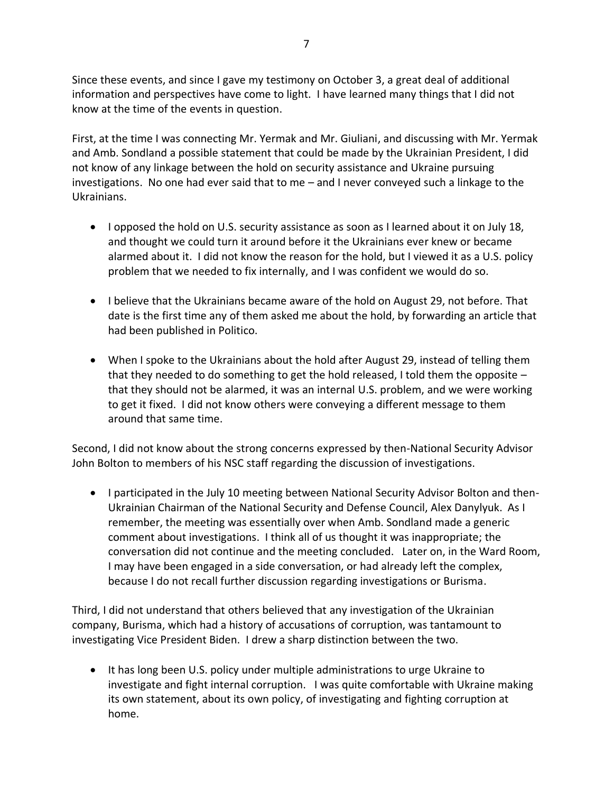Since these events, and since I gave my testimony on October 3, a great deal of additional information and perspectives have come to light. I have learned many things that I did not know at the time of the events in question.

First, at the time I was connecting Mr. Yermak and Mr. Giuliani, and discussing with Mr. Yermak and Amb. Sondland a possible statement that could be made by the Ukrainian President, I did not know of any linkage between the hold on security assistance and Ukraine pursuing investigations. No one had ever said that to me – and I never conveyed such a linkage to the Ukrainians.

- I opposed the hold on U.S. security assistance as soon as I learned about it on July 18, and thought we could turn it around before it the Ukrainians ever knew or became alarmed about it. I did not know the reason for the hold, but I viewed it as a U.S. policy problem that we needed to fix internally, and I was confident we would do so.
- I believe that the Ukrainians became aware of the hold on August 29, not before. That date is the first time any of them asked me about the hold, by forwarding an article that had been published in Politico.
- When I spoke to the Ukrainians about the hold after August 29, instead of telling them that they needed to do something to get the hold released, I told them the opposite – that they should not be alarmed, it was an internal U.S. problem, and we were working to get it fixed. I did not know others were conveying a different message to them around that same time.

Second, I did not know about the strong concerns expressed by then-National Security Advisor John Bolton to members of his NSC staff regarding the discussion of investigations.

• I participated in the July 10 meeting between National Security Advisor Bolton and then-Ukrainian Chairman of the National Security and Defense Council, Alex Danylyuk. As I remember, the meeting was essentially over when Amb. Sondland made a generic comment about investigations. I think all of us thought it was inappropriate; the conversation did not continue and the meeting concluded. Later on, in the Ward Room, I may have been engaged in a side conversation, or had already left the complex, because I do not recall further discussion regarding investigations or Burisma.

Third, I did not understand that others believed that any investigation of the Ukrainian company, Burisma, which had a history of accusations of corruption, was tantamount to investigating Vice President Biden. I drew a sharp distinction between the two.

• It has long been U.S. policy under multiple administrations to urge Ukraine to investigate and fight internal corruption. I was quite comfortable with Ukraine making its own statement, about its own policy, of investigating and fighting corruption at home.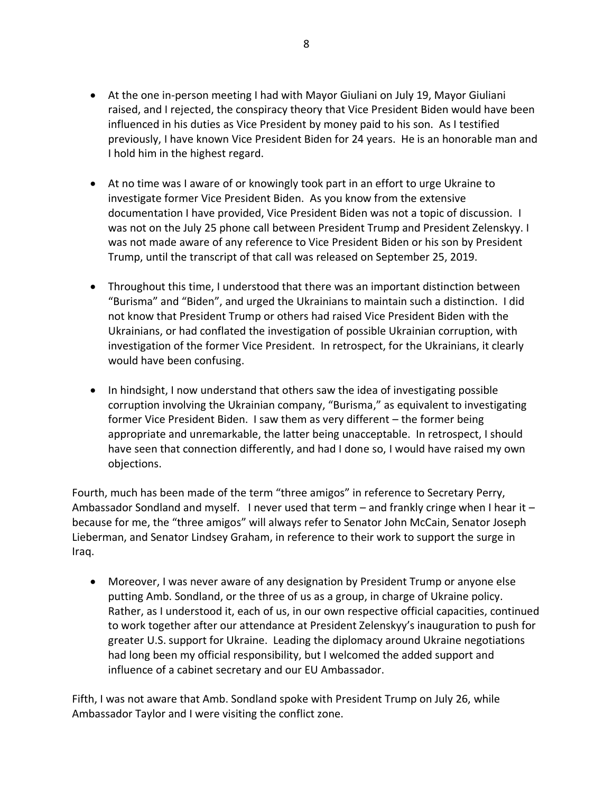- At the one in-person meeting I had with Mayor Giuliani on July 19, Mayor Giuliani raised, and I rejected, the conspiracy theory that Vice President Biden would have been influenced in his duties as Vice President by money paid to his son. As I testified previously, I have known Vice President Biden for 24 years. He is an honorable man and I hold him in the highest regard.
- At no time was I aware of or knowingly took part in an effort to urge Ukraine to investigate former Vice President Biden. As you know from the extensive documentation I have provided, Vice President Biden was not a topic of discussion. I was not on the July 25 phone call between President Trump and President Zelenskyy. I was not made aware of any reference to Vice President Biden or his son by President Trump, until the transcript of that call was released on September 25, 2019.
- Throughout this time, I understood that there was an important distinction between "Burisma" and "Biden", and urged the Ukrainians to maintain such a distinction. I did not know that President Trump or others had raised Vice President Biden with the Ukrainians, or had conflated the investigation of possible Ukrainian corruption, with investigation of the former Vice President. In retrospect, for the Ukrainians, it clearly would have been confusing.
- In hindsight, I now understand that others saw the idea of investigating possible corruption involving the Ukrainian company, "Burisma," as equivalent to investigating former Vice President Biden. I saw them as very different – the former being appropriate and unremarkable, the latter being unacceptable. In retrospect, I should have seen that connection differently, and had I done so, I would have raised my own objections.

Fourth, much has been made of the term "three amigos" in reference to Secretary Perry, Ambassador Sondland and myself. I never used that term – and frankly cringe when I hear it – because for me, the "three amigos" will always refer to Senator John McCain, Senator Joseph Lieberman, and Senator Lindsey Graham, in reference to their work to support the surge in Iraq.

• Moreover, I was never aware of any designation by President Trump or anyone else putting Amb. Sondland, or the three of us as a group, in charge of Ukraine policy. Rather, as I understood it, each of us, in our own respective official capacities, continued to work together after our attendance at President Zelenskyy's inauguration to push for greater U.S. support for Ukraine. Leading the diplomacy around Ukraine negotiations had long been my official responsibility, but I welcomed the added support and influence of a cabinet secretary and our EU Ambassador.

Fifth, I was not aware that Amb. Sondland spoke with President Trump on July 26, while Ambassador Taylor and I were visiting the conflict zone.